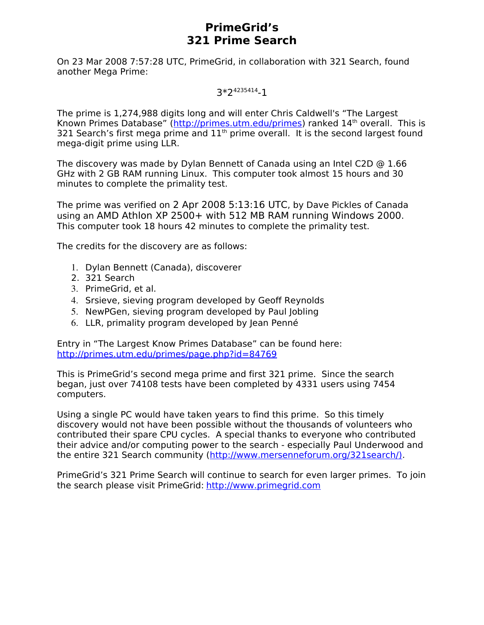### **PrimeGrid's 321 Prime Search**

On 23 Mar 2008 7:57:28 UTC, PrimeGrid, in collaboration with 321 Search, found another Mega Prime:

### 3\*2<sup>4235414</sup>-1

The prime is 1,274,988 digits long and will enter Chris Caldwell's "The Largest Known Primes Database" [\(http://primes.utm.edu/primes\)](http://primes.utm.edu/primes) ranked 14<sup>th</sup> overall. This is 321 Search's first mega prime and  $11<sup>th</sup>$  prime overall. It is the second largest found mega-digit prime using LLR.

The discovery was made by Dylan Bennett of Canada using an Intel C2D  $\odot$  1.66 GHz with 2 GB RAM running Linux. This computer took almost 15 hours and 30 minutes to complete the primality test.

The prime was verified on 2 Apr 2008 5:13:16 UTC, by Dave Pickles of Canada using an AMD Athlon XP 2500+ with 512 MB RAM running Windows 2000. This computer took 18 hours 42 minutes to complete the primality test.

The credits for the discovery are as follows:

- 1. Dylan Bennett (Canada), discoverer
- 2. 321 Search
- 3. PrimeGrid, et al.
- 4. Srsieve, sieving program developed by Geoff Reynolds
- 5. NewPGen, sieving program developed by Paul Jobling
- 6. LLR, primality program developed by Jean Penné

Entry in "The Largest Know Primes Database" can be found here: <http://primes.utm.edu/primes/page.php?id=84769>

This is PrimeGrid's second mega prime and first 321 prime. Since the search began, just over 74108 tests have been completed by 4331 users using 7454 computers.

Using a single PC would have taken years to find this prime. So this timely discovery would not have been possible without the thousands of volunteers who contributed their spare CPU cycles. A special thanks to everyone who contributed their advice and/or computing power to the search - especially Paul Underwood and the entire 321 Search community [\(http://www.mersenneforum.org/321search/\).](http://www.mersenneforum.org/321search/))

PrimeGrid's 321 Prime Search will continue to search for even larger primes. To join the search please visit PrimeGrid: [http://www.primegrid.com](http://www.primegrid.com/)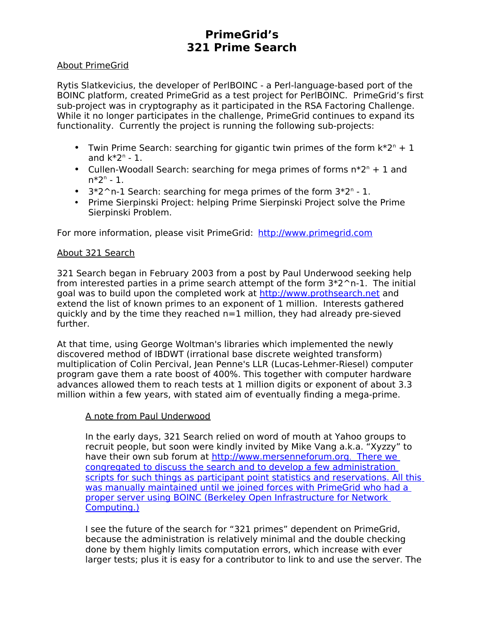# **PrimeGrid's 321 Prime Search**

### About PrimeGrid

Rytis Slatkevicius, the developer of PerlBOINC - a Perl-language-based port of the BOINC platform, created PrimeGrid as a test project for PerlBOINC. PrimeGrid's first sub-project was in cryptography as it participated in the RSA Factoring Challenge. While it no longer participates in the challenge, PrimeGrid continues to expand its functionality. Currently the project is running the following sub-projects:

- Twin Prime Search: searching for gigantic twin primes of the form  $k^*2^n + 1$ and  $k^*2^n$  - 1.
- Cullen-Woodall Search: searching for mega primes of forms  $n^*2^n + 1$  and  $n^*2^n$  - 1.
- $3*2^n-1$  Search: searching for mega primes of the form  $3*2^n 1$ .
- Prime Sierpinski Project: helping Prime Sierpinski Project solve the Prime Sierpinski Problem.

For more information, please visit PrimeGrid: [http://www.primegrid.com](http://www.primegrid.com/)

### About 321 Search

321 Search began in February 2003 from a post by Paul Underwood seeking help from interested parties in a prime search attempt of the form  $3*2^n-1$ . The initial goal was to build upon the completed work at [http://www.prothsearch.net](http://www.prothsearch.net/) and extend the list of known primes to an exponent of 1 million. Interests gathered quickly and by the time they reached n=1 million, they had already pre-sieved further.

At that time, using George Woltman's libraries which implemented the newly discovered method of IBDWT (irrational base discrete weighted transform) multiplication of Colin Percival, Jean Penne's LLR (Lucas-Lehmer-Riesel) computer program gave them a rate boost of 400%. This together with computer hardware advances allowed them to reach tests at 1 million digits or exponent of about 3.3 million within a few years, with stated aim of eventually finding a mega-prime.

#### A note from Paul Underwood

In the early days, 321 Search relied on word of mouth at Yahoo groups to recruit people, but soon were kindly invited by Mike Vang a.k.a. "Xyzzy" to have their own sub forum at [http://www.mersenneforum.org](http://www.mersenneforum.org/). [There we](http://www.mersenneforum.org/) congregated to discuss the search and to develop a few administration [scripts for such things as participant point statistics and reservations. All this](http://www.mersenneforum.org/) was manually maintained until we joined forces with PrimeGrid who had a  [proper server using BOINC \( Berkeley Open Infrastructure for Network](http://www.mersenneforum.org/)  [Computing. \)](http://www.mersenneforum.org/)

[I see the future of the search for "321 primes" dependent on PrimeGrid,](http://www.mersenneforum.org/) because the administration is relatively minimal and the double checking done by them highly limits computation errors, which increase with ever [larger tests; plus it is easy for a contributor to link to and use the server. The](http://www.mersenneforum.org/)